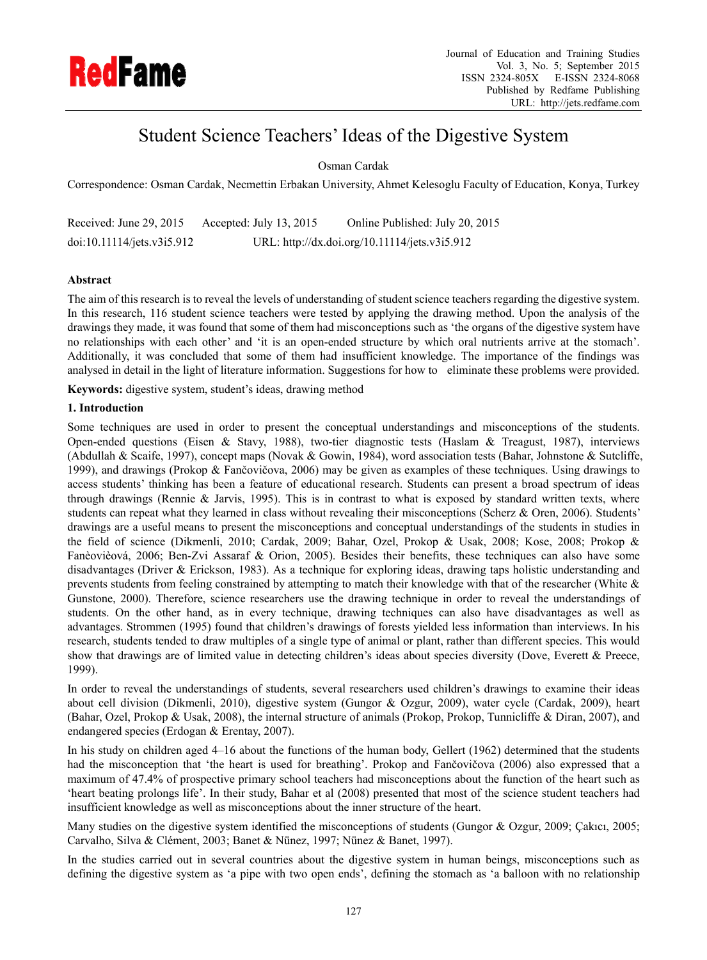

# Student Science Teachers' Ideas of the Digestive System

Osman Cardak

Correspondence: Osman Cardak, Necmettin Erbakan University, Ahmet Kelesoglu Faculty of Education, Konya, Turkey

Received: June 29, 2015 Accepted: July 13, 2015 Online Published: July 20, 2015 doi:10.11114/jets.v3i5.912 URL: http://dx.doi.org/10.11114/jets.v3i5.912

## **Abstract**

The aim of this research is to reveal the levels of understanding of student science teachers regarding the digestive system. In this research, 116 student science teachers were tested by applying the drawing method. Upon the analysis of the drawings they made, it was found that some of them had misconceptions such as 'the organs of the digestive system have no relationships with each other' and 'it is an open-ended structure by which oral nutrients arrive at the stomach'. Additionally, it was concluded that some of them had insufficient knowledge. The importance of the findings was analysed in detail in the light of literature information. Suggestions for how to eliminate these problems were provided.

**Keywords:** digestive system, student's ideas, drawing method

## **1. Introduction**

Some techniques are used in order to present the conceptual understandings and misconceptions of the students. Open-ended questions (Eisen & Stavy, 1988), two-tier diagnostic tests (Haslam & Treagust, 1987), interviews (Abdullah & Scaife, 1997), concept maps (Novak & Gowin, 1984), word association tests (Bahar, Johnstone & Sutcliffe, 1999), and drawings (Prokop & Fančovičova, 2006) may be given as examples of these techniques. Using drawings to access students' thinking has been a feature of educational research. Students can present a broad spectrum of ideas through drawings (Rennie & Jarvis, 1995). This is in contrast to what is exposed by standard written texts, where students can repeat what they learned in class without revealing their misconceptions (Scherz & Oren, 2006). Students' drawings are a useful means to present the misconceptions and conceptual understandings of the students in studies in the field of science (Dikmenli, 2010; Cardak, 2009; Bahar, Ozel, Prokop & Usak, 2008; Kose, 2008; Prokop & Fanèovièová, 2006; Ben-Zvi Assaraf & Orion, 2005). Besides their benefits, these techniques can also have some disadvantages (Driver & Erickson, 1983). As a technique for exploring ideas, drawing taps holistic understanding and prevents students from feeling constrained by attempting to match their knowledge with that of the researcher (White & Gunstone, 2000). Therefore, science researchers use the drawing technique in order to reveal the understandings of students. On the other hand, as in every technique, drawing techniques can also have disadvantages as well as advantages. Strommen (1995) found that children's drawings of forests yielded less information than interviews. In his research, students tended to draw multiples of a single type of animal or plant, rather than different species. This would show that drawings are of limited value in detecting children's ideas about species diversity (Dove, Everett & Preece, 1999).

In order to reveal the understandings of students, several researchers used children's drawings to examine their ideas about cell division (Dikmenli, 2010), digestive system (Gungor & Ozgur, 2009), water cycle (Cardak, 2009), heart (Bahar, Ozel, Prokop & Usak, 2008), the internal structure of animals (Prokop, Prokop, Tunnicliffe & Diran, 2007), and endangered species (Erdogan & Erentay, 2007).

In his study on children aged 4–16 about the functions of the human body, Gellert (1962) determined that the students had the misconception that 'the heart is used for breathing'. Prokop and Fančovičova (2006) also expressed that a maximum of 47.4% of prospective primary school teachers had misconceptions about the function of the heart such as 'heart beating prolongs life'. In their study, Bahar et al (2008) presented that most of the science student teachers had insufficient knowledge as well as misconceptions about the inner structure of the heart.

Many studies on the digestive system identified the misconceptions of students (Gungor & Ozgur, 2009; Çakıcı, 2005; Carvalho, Silva & Clément, 2003; Banet & Nünez, 1997; Nünez & Banet, 1997).

In the studies carried out in several countries about the digestive system in human beings, misconceptions such as defining the digestive system as 'a pipe with two open ends', defining the stomach as 'a balloon with no relationship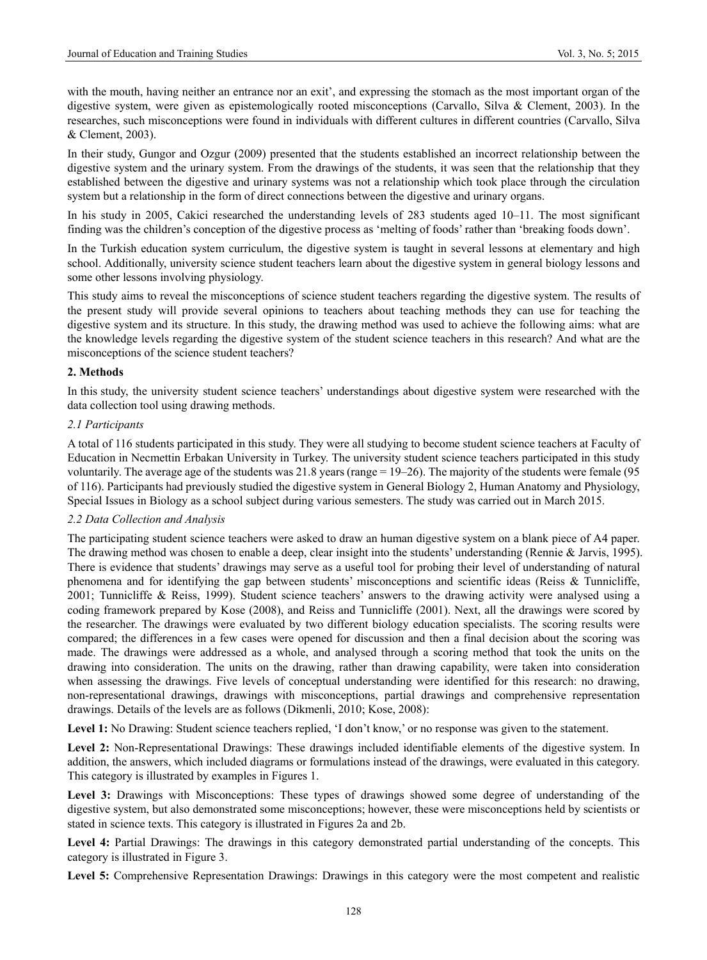with the mouth, having neither an entrance nor an exit', and expressing the stomach as the most important organ of the digestive system, were given as epistemologically rooted misconceptions (Carvallo, Silva & Clement, 2003). In the researches, such misconceptions were found in individuals with different cultures in different countries (Carvallo, Silva & Clement, 2003).

In their study, Gungor and Ozgur (2009) presented that the students established an incorrect relationship between the digestive system and the urinary system. From the drawings of the students, it was seen that the relationship that they established between the digestive and urinary systems was not a relationship which took place through the circulation system but a relationship in the form of direct connections between the digestive and urinary organs.

In his study in 2005, Cakici researched the understanding levels of 283 students aged 10–11. The most significant finding was the children's conception of the digestive process as 'melting of foods' rather than 'breaking foods down'.

In the Turkish education system curriculum, the digestive system is taught in several lessons at elementary and high school. Additionally, university science student teachers learn about the digestive system in general biology lessons and some other lessons involving physiology.

This study aims to reveal the misconceptions of science student teachers regarding the digestive system. The results of the present study will provide several opinions to teachers about teaching methods they can use for teaching the digestive system and its structure. In this study, the drawing method was used to achieve the following aims: what are the knowledge levels regarding the digestive system of the student science teachers in this research? And what are the misconceptions of the science student teachers?

# **2. Methods**

In this study, the university student science teachers' understandings about digestive system were researched with the data collection tool using drawing methods.

# *2.1 Participants*

A total of 116 students participated in this study. They were all studying to become student science teachers at Faculty of Education in Necmettin Erbakan University in Turkey. The university student science teachers participated in this study voluntarily. The average age of the students was 21.8 years (range = 19–26). The majority of the students were female (95 of 116). Participants had previously studied the digestive system in General Biology 2, Human Anatomy and Physiology, Special Issues in Biology as a school subject during various semesters. The study was carried out in March 2015.

## *2.2 Data Collection and Analysis*

The participating student science teachers were asked to draw an human digestive system on a blank piece of A4 paper. The drawing method was chosen to enable a deep, clear insight into the students' understanding (Rennie & Jarvis, 1995). There is evidence that students' drawings may serve as a useful tool for probing their level of understanding of natural phenomena and for identifying the gap between students' misconceptions and scientific ideas (Reiss & Tunnicliffe, 2001; Tunnicliffe & Reiss, 1999). Student science teachers' answers to the drawing activity were analysed using a coding framework prepared by Kose (2008), and Reiss and Tunnicliffe (2001). Next, all the drawings were scored by the researcher. The drawings were evaluated by two different biology education specialists. The scoring results were compared; the differences in a few cases were opened for discussion and then a final decision about the scoring was made. The drawings were addressed as a whole, and analysed through a scoring method that took the units on the drawing into consideration. The units on the drawing, rather than drawing capability, were taken into consideration when assessing the drawings. Five levels of conceptual understanding were identified for this research: no drawing, non-representational drawings, drawings with misconceptions, partial drawings and comprehensive representation drawings. Details of the levels are as follows (Dikmenli, 2010; Kose, 2008):

Level 1: No Drawing: Student science teachers replied, 'I don't know,' or no response was given to the statement.

Level 2: Non-Representational Drawings: These drawings included identifiable elements of the digestive system. In addition, the answers, which included diagrams or formulations instead of the drawings, were evaluated in this category. This category is illustrated by examples in Figures 1.

Level 3: Drawings with Misconceptions: These types of drawings showed some degree of understanding of the digestive system, but also demonstrated some misconceptions; however, these were misconceptions held by scientists or stated in science texts. This category is illustrated in Figures 2a and 2b.

Level 4: Partial Drawings: The drawings in this category demonstrated partial understanding of the concepts. This category is illustrated in Figure 3.

Level 5: Comprehensive Representation Drawings: Drawings in this category were the most competent and realistic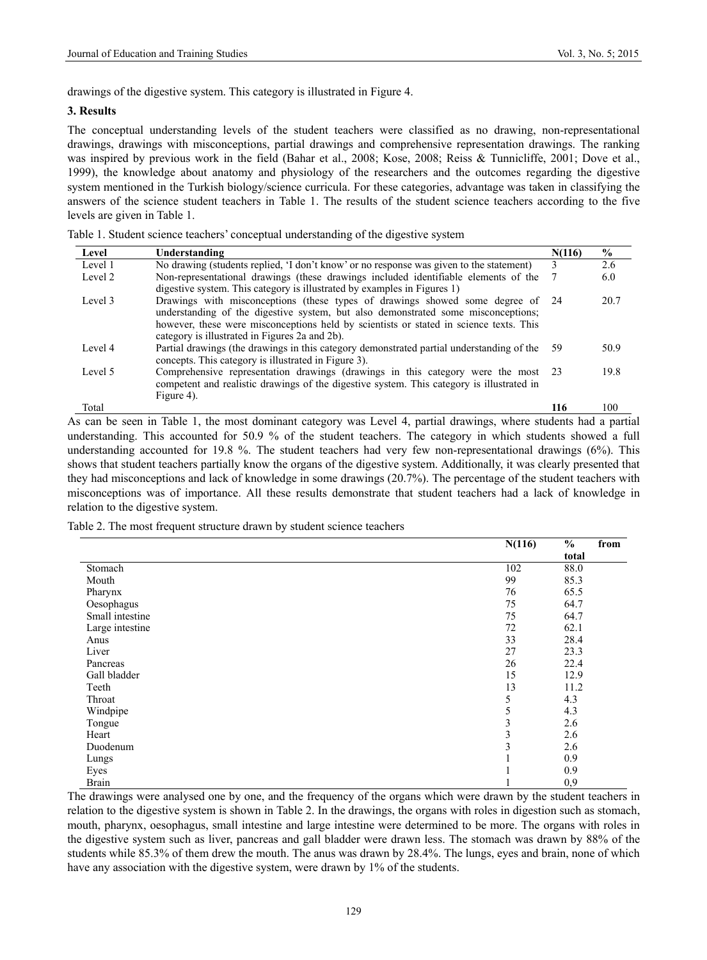drawings of the digestive system. This category is illustrated in Figure 4.

#### **3. Results**

The conceptual understanding levels of the student teachers were classified as no drawing, non-representational drawings, drawings with misconceptions, partial drawings and comprehensive representation drawings. The ranking was inspired by previous work in the field (Bahar et al., 2008; Kose, 2008; Reiss & Tunnicliffe, 2001; Dove et al., 1999), the knowledge about anatomy and physiology of the researchers and the outcomes regarding the digestive system mentioned in the Turkish biology/science curricula. For these categories, advantage was taken in classifying the answers of the science student teachers in Table 1. The results of the student science teachers according to the five levels are given in Table 1.

|  |  | Table 1. Student science teachers' conceptual understanding of the digestive system |  |  |
|--|--|-------------------------------------------------------------------------------------|--|--|
|  |  |                                                                                     |  |  |

| Level   | Understanding                                                                                                                                                                                                                                                                                                   | N(116) | $\frac{0}{0}$ |
|---------|-----------------------------------------------------------------------------------------------------------------------------------------------------------------------------------------------------------------------------------------------------------------------------------------------------------------|--------|---------------|
| Level 1 | No drawing (students replied, 'I don't know' or no response was given to the statement)                                                                                                                                                                                                                         | 3      | 2.6           |
| Level 2 | Non-representational drawings (these drawings included identifiable elements of the<br>digestive system. This category is illustrated by examples in Figures 1)                                                                                                                                                 |        | 6.0           |
| Level 3 | Drawings with misconceptions (these types of drawings showed some degree of 24<br>understanding of the digestive system, but also demonstrated some misconceptions;<br>however, these were misconceptions held by scientists or stated in science texts. This<br>category is illustrated in Figures 2a and 2b). |        | 20.7          |
| Level 4 | Partial drawings (the drawings in this category demonstrated partial understanding of the<br>concepts. This category is illustrated in Figure 3).                                                                                                                                                               | -59    | 50.9          |
| Level 5 | Comprehensive representation drawings (drawings in this category were the most 23<br>competent and realistic drawings of the digestive system. This category is illustrated in<br>Figure 4).                                                                                                                    |        | 19.8          |
| Total   |                                                                                                                                                                                                                                                                                                                 | 116    | 100           |

As can be seen in Table 1, the most dominant category was Level 4, partial drawings, where students had a partial understanding. This accounted for 50.9 % of the student teachers. The category in which students showed a full understanding accounted for 19.8 %. The student teachers had very few non-representational drawings (6%). This shows that student teachers partially know the organs of the digestive system. Additionally, it was clearly presented that they had misconceptions and lack of knowledge in some drawings (20.7%). The percentage of the student teachers with misconceptions was of importance. All these results demonstrate that student teachers had a lack of knowledge in relation to the digestive system.

Table 2. The most frequent structure drawn by student science teachers

|                 | N(116)   | $\frac{0}{0}$ | from |
|-----------------|----------|---------------|------|
|                 |          | total         |      |
| Stomach         | 102      | 88.0          |      |
| Mouth           | 99       | 85.3          |      |
| Pharynx         | 76       | 65.5          |      |
| Oesophagus      | 75       | 64.7          |      |
| Small intestine | 75       | 64.7          |      |
| Large intestine | 72       | 62.1          |      |
| Anus            | 33       | 28.4          |      |
| Liver           | 27       | 23.3          |      |
| Pancreas        | 26       | 22.4          |      |
| Gall bladder    | 15       | 12.9          |      |
| Teeth           | 13       | 11.2          |      |
| Throat          | 5        | 4.3           |      |
| Windpipe        | 5        | 4.3           |      |
| Tongue          | 3        | 2.6           |      |
| Heart           | 3        | 2.6           |      |
| Duodenum        | 3        | 2.6           |      |
| Lungs           |          | 0.9           |      |
| Eyes            | $\bf{1}$ | 0.9           |      |
| <b>Brain</b>    | 1        | 0,9           |      |

The drawings were analysed one by one, and the frequency of the organs which were drawn by the student teachers in relation to the digestive system is shown in Table 2. In the drawings, the organs with roles in digestion such as stomach, mouth, pharynx, oesophagus, small intestine and large intestine were determined to be more. The organs with roles in the digestive system such as liver, pancreas and gall bladder were drawn less. The stomach was drawn by 88% of the students while 85.3% of them drew the mouth. The anus was drawn by 28.4%. The lungs, eyes and brain, none of which have any association with the digestive system, were drawn by 1% of the students.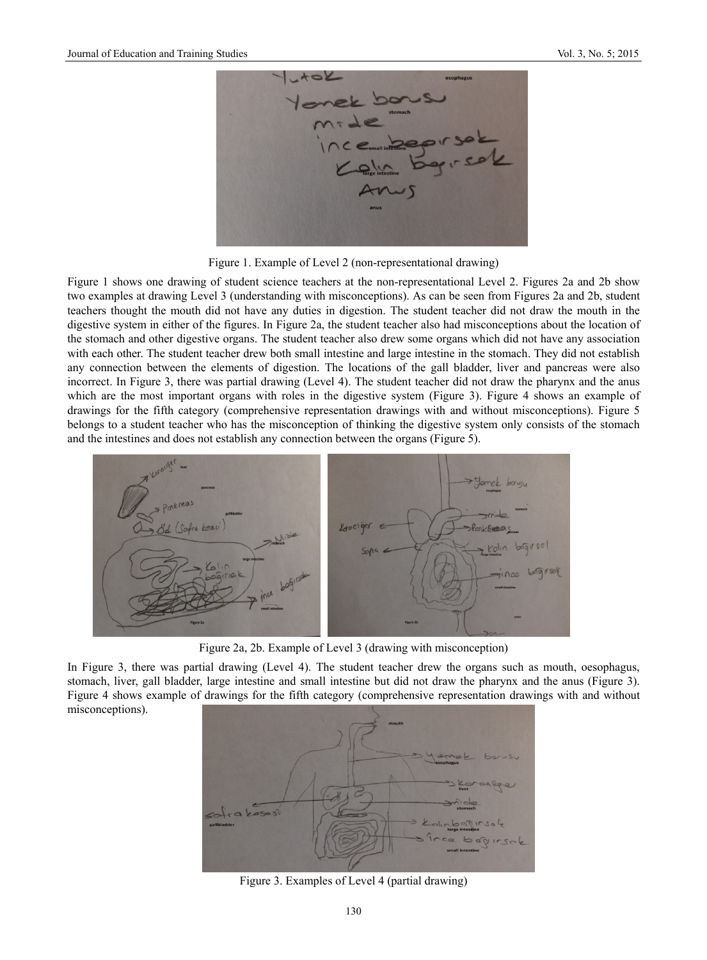

Figure 1. Example of Level 2 (non-representational drawing)

Figure 1 shows one drawing of student science teachers at the non-representational Level 2. Figures 2a and 2b show two examples at drawing Level 3 (understanding with misconceptions). As can be seen from Figures 2a and 2b, student teachers thought the mouth did not have any duties in digestion. The student teacher did not draw the mouth in the digestive system in either of the figures. In Figure 2a, the student teacher also had misconceptions about the location of the stomach and other digestive organs. The student teacher also drew some organs which did not have any association with each other. The student teacher drew both small intestine and large intestine in the stomach. They did not establish any connection between the elements of digestion. The locations of the gall bladder, liver and pancreas were also incorrect. In Figure 3, there was partial drawing (Level 4). The student teacher did not draw the pharynx and the anus which are the most important organs with roles in the digestive system (Figure 3). Figure 4 shows an example of drawings for the fifth category (comprehensive representation drawings with and without misconceptions). Figure 5 belongs to a student teacher who has the misconception of thinking the digestive system only consists of the stomach and the intestines and does not establish any connection between the organs (Figure 5).



Figure 2a, 2b. Example of Level 3 (drawing with misconception)

In Figure 3, there was partial drawing (Level 4). The student teacher drew the organs such as mouth, oesophagus, stomach, liver, gall bladder, large intestine and small intestine but did not draw the pharynx and the anus (Figure 3). Figure 4 shows example of drawings for the fifth category (comprehensive representation drawings with and without misconceptions).



Figure 3. Examples of Level 4 (partial drawing)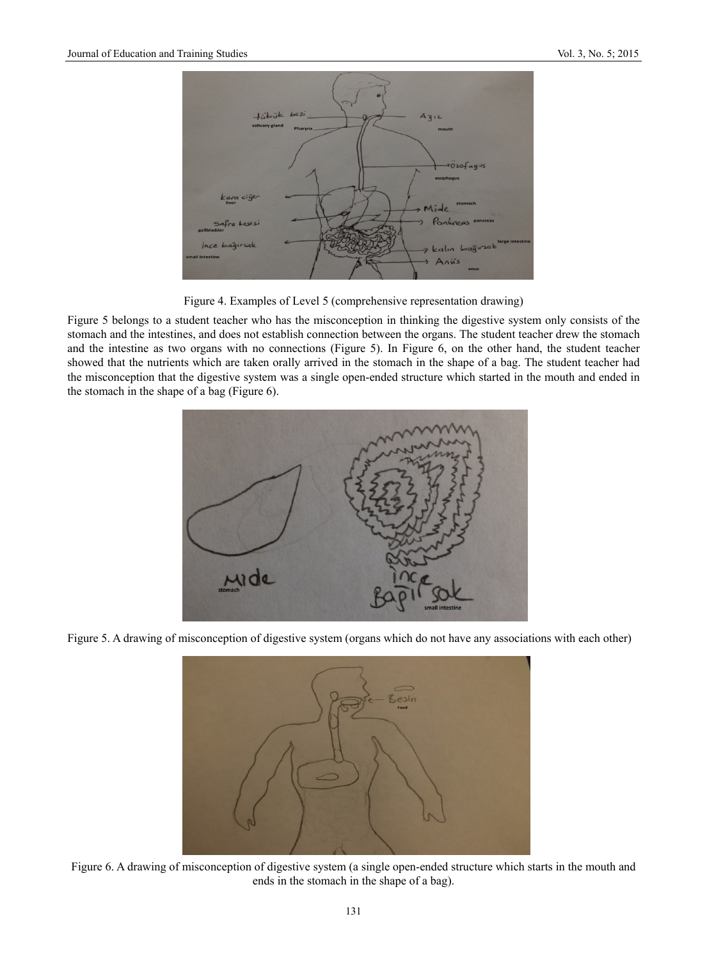

Figure 4. Examples of Level 5 (comprehensive representation drawing)

Figure 5 belongs to a student teacher who has the misconception in thinking the digestive system only consists of the stomach and the intestines, and does not establish connection between the organs. The student teacher drew the stomach and the intestine as two organs with no connections (Figure 5). In Figure 6, on the other hand, the student teacher showed that the nutrients which are taken orally arrived in the stomach in the shape of a bag. The student teacher had the misconception that the digestive system was a single open-ended structure which started in the mouth and ended in the stomach in the shape of a bag (Figure 6).



Figure 5. A drawing of misconception of digestive system (organs which do not have any associations with each other)



Figure 6. A drawing of misconception of digestive system (a single open-ended structure which starts in the mouth and ends in the stomach in the shape of a bag).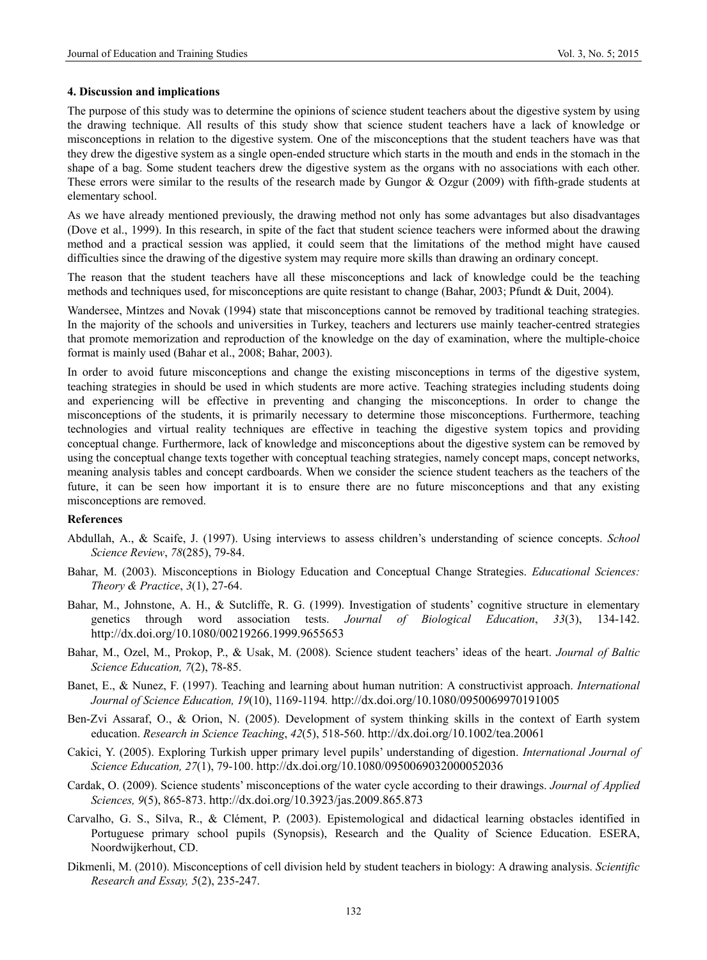#### **4. Discussion and implications**

The purpose of this study was to determine the opinions of science student teachers about the digestive system by using the drawing technique. All results of this study show that science student teachers have a lack of knowledge or misconceptions in relation to the digestive system. One of the misconceptions that the student teachers have was that they drew the digestive system as a single open-ended structure which starts in the mouth and ends in the stomach in the shape of a bag. Some student teachers drew the digestive system as the organs with no associations with each other. These errors were similar to the results of the research made by Gungor & Ozgur (2009) with fifth-grade students at elementary school.

As we have already mentioned previously, the drawing method not only has some advantages but also disadvantages (Dove et al., 1999). In this research, in spite of the fact that student science teachers were informed about the drawing method and a practical session was applied, it could seem that the limitations of the method might have caused difficulties since the drawing of the digestive system may require more skills than drawing an ordinary concept.

The reason that the student teachers have all these misconceptions and lack of knowledge could be the teaching methods and techniques used, for misconceptions are quite resistant to change (Bahar, 2003; Pfundt & Duit, 2004).

Wandersee, Mintzes and Novak (1994) state that misconceptions cannot be removed by traditional teaching strategies. In the majority of the schools and universities in Turkey, teachers and lecturers use mainly teacher-centred strategies that promote memorization and reproduction of the knowledge on the day of examination, where the multiple-choice format is mainly used (Bahar et al., 2008; Bahar, 2003).

In order to avoid future misconceptions and change the existing misconceptions in terms of the digestive system, teaching strategies in should be used in which students are more active. Teaching strategies including students doing and experiencing will be effective in preventing and changing the misconceptions. In order to change the misconceptions of the students, it is primarily necessary to determine those misconceptions. Furthermore, teaching technologies and virtual reality techniques are effective in teaching the digestive system topics and providing conceptual change. Furthermore, lack of knowledge and misconceptions about the digestive system can be removed by using the conceptual change texts together with conceptual teaching strategies, namely concept maps, concept networks, meaning analysis tables and concept cardboards. When we consider the science student teachers as the teachers of the future, it can be seen how important it is to ensure there are no future misconceptions and that any existing misconceptions are removed.

## **References**

- Abdullah, A., & Scaife, J. (1997). Using interviews to assess children's understanding of science concepts. *School Science Review*, *78*(285), 79-84.
- Bahar, M. (2003). Misconceptions in Biology Education and Conceptual Change Strategies. *Educational Sciences: Theory & Practice*, *3*(1), 27-64.
- Bahar, M., Johnstone, A. H., & Sutcliffe, R. G. (1999). Investigation of students' cognitive structure in elementary genetics through word association tests. *Journal of Biological Education*, *33*(3), 134-142. http://dx.doi.org/10.1080/00219266.1999.9655653
- Bahar, M., Ozel, M., Prokop, P., & Usak, M. (2008). Science student teachers' ideas of the heart. *Journal of Baltic Science Education, 7*(2), 78-85.
- Banet, E., & Nunez, F. (1997). Teaching and learning about human nutrition: A constructivist approach. *International Journal of Science Education, 19*(10), 1169-1194*.* http://dx.doi.org/10.1080/0950069970191005
- Ben-Zvi Assaraf, O., & Orion, N. (2005). Development of system thinking skills in the context of Earth system education. *Research in Science Teaching*, *42*(5), 518-560. http://dx.doi.org/10.1002/tea.20061
- Cakici, Y. (2005). Exploring Turkish upper primary level pupils' understanding of digestion. *International Journal of Science Education, 27*(1), 79-100. http://dx.doi.org/10.1080/0950069032000052036
- Cardak, O. (2009). Science students' misconceptions of the water cycle according to their drawings. *Journal of Applied Sciences, 9*(5), 865-873. http://dx.doi.org/10.3923/jas.2009.865.873
- Carvalho, G. S., Silva, R., & Clément, P. (2003). Epistemological and didactical learning obstacles identified in Portuguese primary school pupils (Synopsis), Research and the Quality of Science Education. ESERA, Noordwijkerhout, CD.
- Dikmenli, M. (2010). Misconceptions of cell division held by student teachers in biology: A drawing analysis. *Scientific Research and Essay, 5*(2), 235-247.